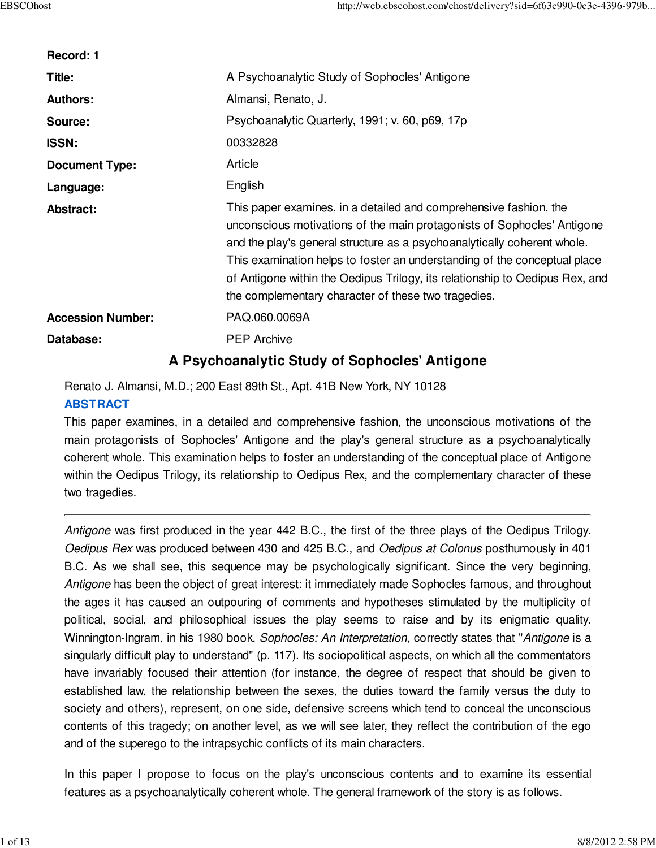| Record: 1                |                                                                                                                                                                                                                                                                                                                                                                                                                                              |
|--------------------------|----------------------------------------------------------------------------------------------------------------------------------------------------------------------------------------------------------------------------------------------------------------------------------------------------------------------------------------------------------------------------------------------------------------------------------------------|
| Title:                   | A Psychoanalytic Study of Sophocles' Antigone                                                                                                                                                                                                                                                                                                                                                                                                |
| <b>Authors:</b>          | Almansi, Renato, J.                                                                                                                                                                                                                                                                                                                                                                                                                          |
| Source:                  | Psychoanalytic Quarterly, 1991; v. 60, p69, 17p                                                                                                                                                                                                                                                                                                                                                                                              |
| <b>ISSN:</b>             | 00332828                                                                                                                                                                                                                                                                                                                                                                                                                                     |
| <b>Document Type:</b>    | Article                                                                                                                                                                                                                                                                                                                                                                                                                                      |
| Language:                | English                                                                                                                                                                                                                                                                                                                                                                                                                                      |
| <b>Abstract:</b>         | This paper examines, in a detailed and comprehensive fashion, the<br>unconscious motivations of the main protagonists of Sophocles' Antigone<br>and the play's general structure as a psychoanalytically coherent whole.<br>This examination helps to foster an understanding of the conceptual place<br>of Antigone within the Oedipus Trilogy, its relationship to Oedipus Rex, and<br>the complementary character of these two tragedies. |
| <b>Accession Number:</b> | PAQ.060.0069A                                                                                                                                                                                                                                                                                                                                                                                                                                |
| Database:                | <b>PEP Archive</b>                                                                                                                                                                                                                                                                                                                                                                                                                           |
|                          | A Psychoanalytic Study of Sophocles' Antigone                                                                                                                                                                                                                                                                                                                                                                                                |

Renato J. Almansi, M.D.; 200 East 89th St., Apt. 41B New York, NY 10128

# **ABSTRACT**

This paper examines, in a detailed and comprehensive fashion, the unconscious motivations of the main protagonists of Sophocles' Antigone and the play's general structure as a psychoanalytically coherent whole. This examination helps to foster an understanding of the conceptual place of Antigone within the Oedipus Trilogy, its relationship to Oedipus Rex, and the complementary character of these two tragedies.

Antigone was first produced in the year 442 B.C., the first of the three plays of the Oedipus Trilogy. Oedipus Rex was produced between 430 and 425 B.C., and Oedipus at Colonus posthumously in 401 B.C. As we shall see, this sequence may be psychologically significant. Since the very beginning, Antigone has been the object of great interest: it immediately made Sophocles famous, and throughout the ages it has caused an outpouring of comments and hypotheses stimulated by the multiplicity of political, social, and philosophical issues the play seems to raise and by its enigmatic quality. Winnington-Ingram, in his 1980 book, Sophocles: An Interpretation, correctly states that "Antigone is a singularly difficult play to understand" (p. 117). Its sociopolitical aspects, on which all the commentators have invariably focused their attention (for instance, the degree of respect that should be given to established law, the relationship between the sexes, the duties toward the family versus the duty to society and others), represent, on one side, defensive screens which tend to conceal the unconscious contents of this tragedy; on another level, as we will see later, they reflect the contribution of the ego and of the superego to the intrapsychic conflicts of its main characters.

In this paper I propose to focus on the play's unconscious contents and to examine its essential features as a psychoanalytically coherent whole. The general framework of the story is as follows.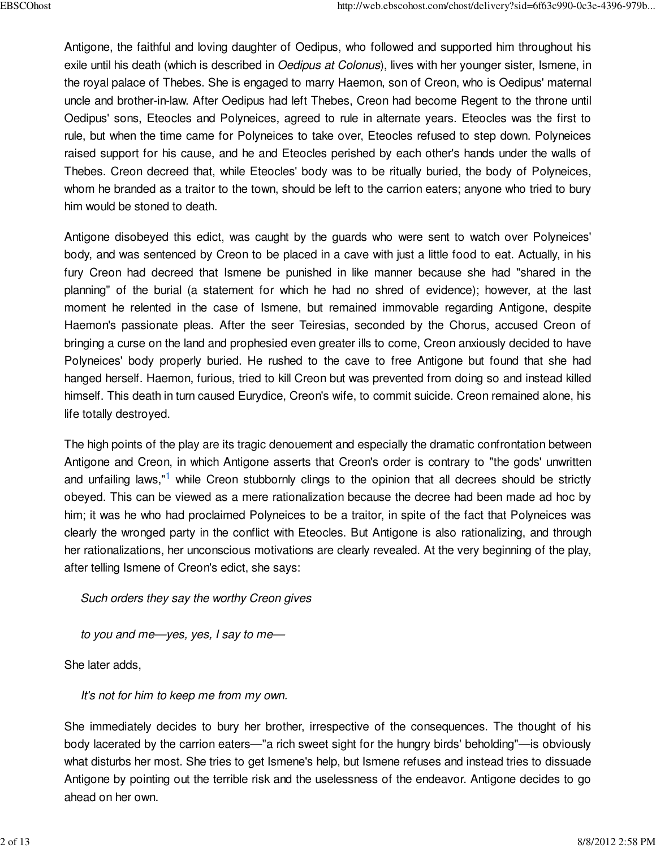Antigone, the faithful and loving daughter of Oedipus, who followed and supported him throughout his exile until his death (which is described in *Oedipus at Colonus*), lives with her younger sister, Ismene, in the royal palace of Thebes. She is engaged to marry Haemon, son of Creon, who is Oedipus' maternal uncle and brother-in-law. After Oedipus had left Thebes, Creon had become Regent to the throne until Oedipus' sons, Eteocles and Polyneices, agreed to rule in alternate years. Eteocles was the first to rule, but when the time came for Polyneices to take over, Eteocles refused to step down. Polyneices raised support for his cause, and he and Eteocles perished by each other's hands under the walls of Thebes. Creon decreed that, while Eteocles' body was to be ritually buried, the body of Polyneices, whom he branded as a traitor to the town, should be left to the carrion eaters; anyone who tried to bury him would be stoned to death.

Antigone disobeyed this edict, was caught by the guards who were sent to watch over Polyneices' body, and was sentenced by Creon to be placed in a cave with just a little food to eat. Actually, in his fury Creon had decreed that Ismene be punished in like manner because she had "shared in the planning" of the burial (a statement for which he had no shred of evidence); however, at the last moment he relented in the case of Ismene, but remained immovable regarding Antigone, despite Haemon's passionate pleas. After the seer Teiresias, seconded by the Chorus, accused Creon of bringing a curse on the land and prophesied even greater ills to come, Creon anxiously decided to have Polyneices' body properly buried. He rushed to the cave to free Antigone but found that she had hanged herself. Haemon, furious, tried to kill Creon but was prevented from doing so and instead killed himself. This death in turn caused Eurydice, Creon's wife, to commit suicide. Creon remained alone, his life totally destroyed.

The high points of the play are its tragic denouement and especially the dramatic confrontation between Antigone and Creon, in which Antigone asserts that Creon's order is contrary to "the gods' unwritten and unfailing laws,"<sup>1</sup> while Creon stubbornly clings to the opinion that all decrees should be strictly obeyed. This can be viewed as a mere rationalization because the decree had been made ad hoc by him; it was he who had proclaimed Polyneices to be a traitor, in spite of the fact that Polyneices was clearly the wronged party in the conflict with Eteocles. But Antigone is also rationalizing, and through her rationalizations, her unconscious motivations are clearly revealed. At the very beginning of the play, after telling Ismene of Creon's edict, she says:

Such orders they say the worthy Creon gives

to you and me—yes, yes, I say to me—

She later adds,

It's not for him to keep me from my own.

She immediately decides to bury her brother, irrespective of the consequences. The thought of his body lacerated by the carrion eaters—"a rich sweet sight for the hungry birds' beholding"—is obviously what disturbs her most. She tries to get Ismene's help, but Ismene refuses and instead tries to dissuade Antigone by pointing out the terrible risk and the uselessness of the endeavor. Antigone decides to go ahead on her own.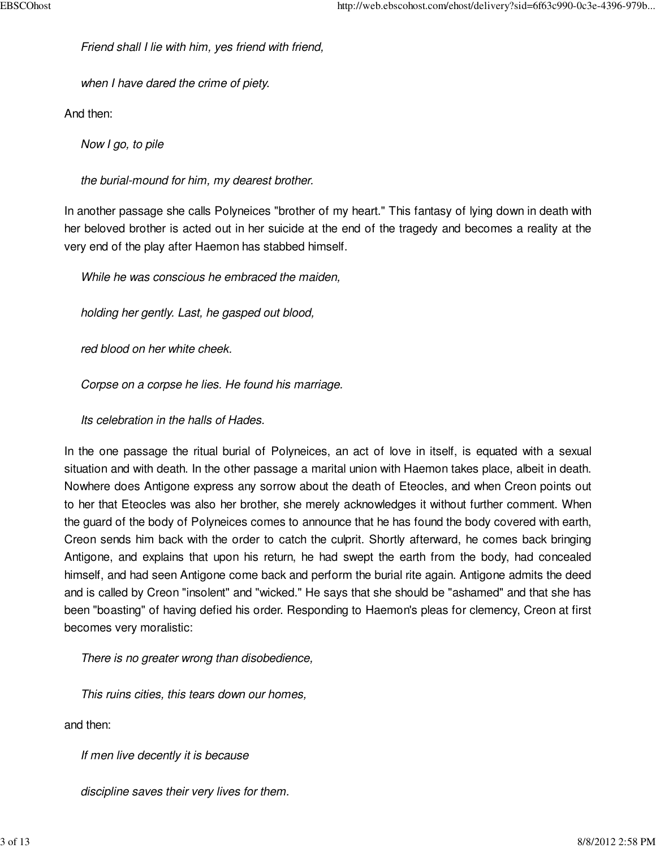Friend shall I lie with him, yes friend with friend,

when I have dared the crime of piety.

And then:

Now I go, to pile

the burial-mound for him, my dearest brother.

In another passage she calls Polyneices "brother of my heart." This fantasy of lying down in death with her beloved brother is acted out in her suicide at the end of the tragedy and becomes a reality at the very end of the play after Haemon has stabbed himself.

While he was conscious he embraced the maiden,

holding her gently. Last, he gasped out blood,

red blood on her white cheek.

Corpse on a corpse he lies. He found his marriage.

Its celebration in the halls of Hades.

In the one passage the ritual burial of Polyneices, an act of love in itself, is equated with a sexual situation and with death. In the other passage a marital union with Haemon takes place, albeit in death. Nowhere does Antigone express any sorrow about the death of Eteocles, and when Creon points out to her that Eteocles was also her brother, she merely acknowledges it without further comment. When the guard of the body of Polyneices comes to announce that he has found the body covered with earth, Creon sends him back with the order to catch the culprit. Shortly afterward, he comes back bringing Antigone, and explains that upon his return, he had swept the earth from the body, had concealed himself, and had seen Antigone come back and perform the burial rite again. Antigone admits the deed and is called by Creon "insolent" and "wicked." He says that she should be "ashamed" and that she has been "boasting" of having defied his order. Responding to Haemon's pleas for clemency, Creon at first becomes very moralistic:

There is no greater wrong than disobedience,

This ruins cities, this tears down our homes,

and then:

If men live decently it is because

discipline saves their very lives for them.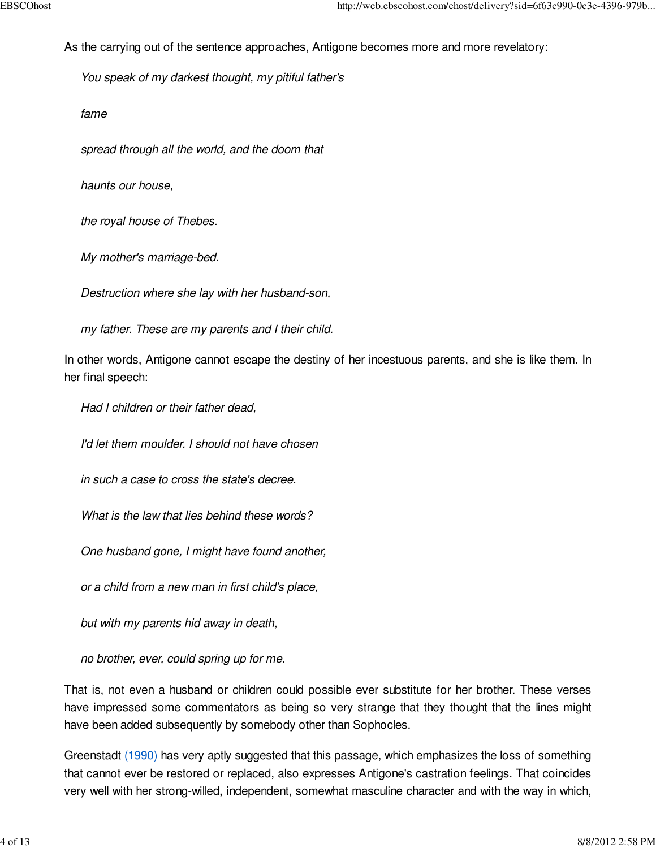As the carrying out of the sentence approaches, Antigone becomes more and more revelatory:

You speak of my darkest thought, my pitiful father's

fame

spread through all the world, and the doom that

haunts our house,

the royal house of Thebes.

My mother's marriage-bed.

Destruction where she lay with her husband-son,

my father. These are my parents and I their child.

In other words, Antigone cannot escape the destiny of her incestuous parents, and she is like them. In her final speech:

Had I children or their father dead,

I'd let them moulder. I should not have chosen

in such a case to cross the state's decree.

What is the law that lies behind these words?

One husband gone, I might have found another,

or a child from a new man in first child's place,

but with my parents hid away in death,

no brother, ever, could spring up for me.

That is, not even a husband or children could possible ever substitute for her brother. These verses have impressed some commentators as being so very strange that they thought that the lines might have been added subsequently by somebody other than Sophocles.

Greenstadt (1990) has very aptly suggested that this passage, which emphasizes the loss of something that cannot ever be restored or replaced, also expresses Antigone's castration feelings. That coincides very well with her strong-willed, independent, somewhat masculine character and with the way in which,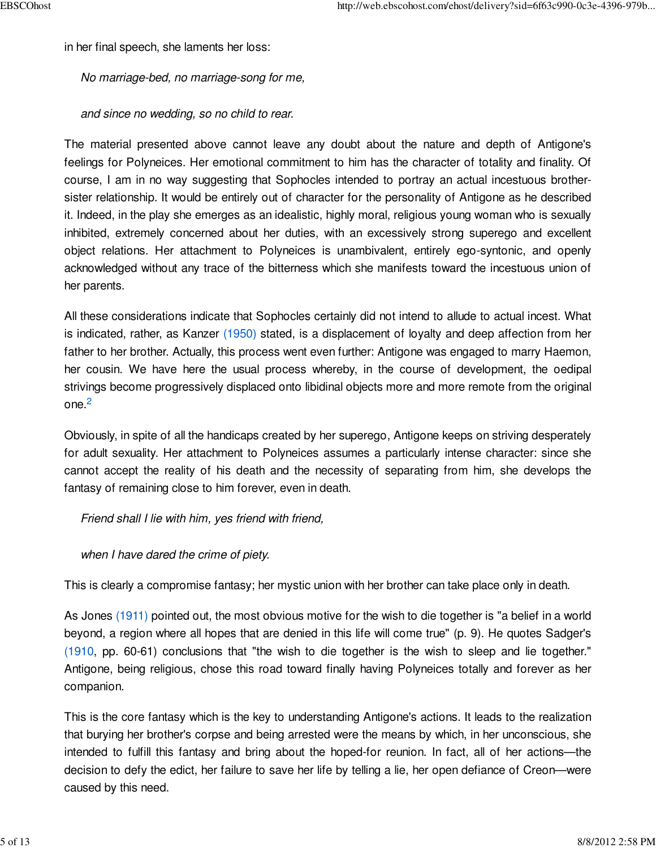in her final speech, she laments her loss:

No marriage-bed, no marriage-song for me,

and since no wedding, so no child to rear.

The material presented above cannot leave any doubt about the nature and depth of Antigone's feelings for Polyneices. Her emotional commitment to him has the character of totality and finality. Of course, I am in no way suggesting that Sophocles intended to portray an actual incestuous brothersister relationship. It would be entirely out of character for the personality of Antigone as he described it. Indeed, in the play she emerges as an idealistic, highly moral, religious young woman who is sexually inhibited, extremely concerned about her duties, with an excessively strong superego and excellent object relations. Her attachment to Polyneices is unambivalent, entirely ego-syntonic, and openly acknowledged without any trace of the bitterness which she manifests toward the incestuous union of her parents.

All these considerations indicate that Sophocles certainly did not intend to allude to actual incest. What is indicated, rather, as Kanzer (1950) stated, is a displacement of loyalty and deep affection from her father to her brother. Actually, this process went even further: Antigone was engaged to marry Haemon, her cousin. We have here the usual process whereby, in the course of development, the oedipal strivings become progressively displaced onto libidinal objects more and more remote from the original one. 2

Obviously, in spite of all the handicaps created by her superego, Antigone keeps on striving desperately for adult sexuality. Her attachment to Polyneices assumes a particularly intense character: since she cannot accept the reality of his death and the necessity of separating from him, she develops the fantasy of remaining close to him forever, even in death.

Friend shall I lie with him, yes friend with friend,

when I have dared the crime of piety.

This is clearly a compromise fantasy; her mystic union with her brother can take place only in death.

As Jones (1911) pointed out, the most obvious motive for the wish to die together is "a belief in a world beyond, a region where all hopes that are denied in this life will come true" (p. 9). He quotes Sadger's (1910, pp. 60-61) conclusions that "the wish to die together is the wish to sleep and lie together." Antigone, being religious, chose this road toward finally having Polyneices totally and forever as her companion.

This is the core fantasy which is the key to understanding Antigone's actions. It leads to the realization that burying her brother's corpse and being arrested were the means by which, in her unconscious, she intended to fulfill this fantasy and bring about the hoped-for reunion. In fact, all of her actions—the decision to defy the edict, her failure to save her life by telling a lie, her open defiance of Creon—were caused by this need.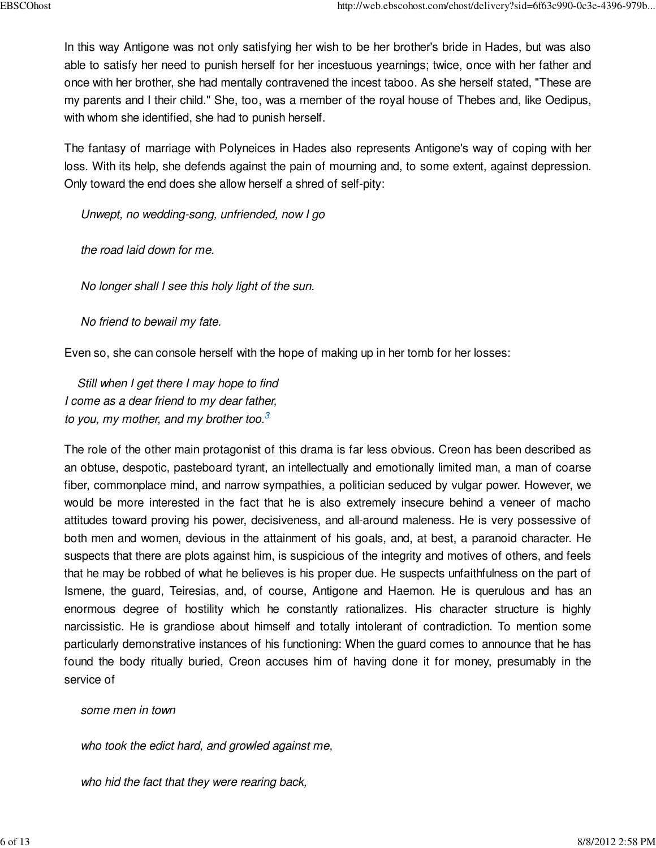In this way Antigone was not only satisfying her wish to be her brother's bride in Hades, but was also able to satisfy her need to punish herself for her incestuous yearnings; twice, once with her father and once with her brother, she had mentally contravened the incest taboo. As she herself stated, "These are my parents and I their child." She, too, was a member of the royal house of Thebes and, like Oedipus, with whom she identified, she had to punish herself.

The fantasy of marriage with Polyneices in Hades also represents Antigone's way of coping with her loss. With its help, she defends against the pain of mourning and, to some extent, against depression. Only toward the end does she allow herself a shred of self-pity:

Unwept, no wedding-song, unfriended, now I go

the road laid down for me.

No longer shall I see this holy light of the sun.

No friend to bewail my fate.

Even so, she can console herself with the hope of making up in her tomb for her losses:

 Still when I get there I may hope to find I come as a dear friend to my dear father, to you, my mother, and my brother too.<sup>3</sup>

The role of the other main protagonist of this drama is far less obvious. Creon has been described as an obtuse, despotic, pasteboard tyrant, an intellectually and emotionally limited man, a man of coarse fiber, commonplace mind, and narrow sympathies, a politician seduced by vulgar power. However, we would be more interested in the fact that he is also extremely insecure behind a veneer of macho attitudes toward proving his power, decisiveness, and all-around maleness. He is very possessive of both men and women, devious in the attainment of his goals, and, at best, a paranoid character. He suspects that there are plots against him, is suspicious of the integrity and motives of others, and feels that he may be robbed of what he believes is his proper due. He suspects unfaithfulness on the part of Ismene, the guard, Teiresias, and, of course, Antigone and Haemon. He is querulous and has an enormous degree of hostility which he constantly rationalizes. His character structure is highly narcissistic. He is grandiose about himself and totally intolerant of contradiction. To mention some particularly demonstrative instances of his functioning: When the guard comes to announce that he has found the body ritually buried, Creon accuses him of having done it for money, presumably in the service of

some men in town

who took the edict hard, and growled against me,

who hid the fact that they were rearing back,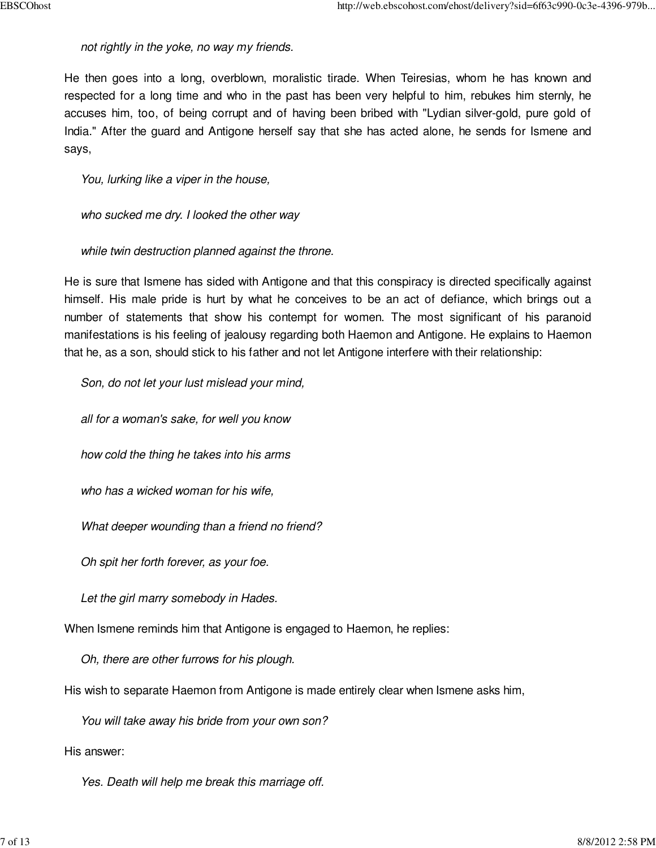not rightly in the yoke, no way my friends.

He then goes into a long, overblown, moralistic tirade. When Teiresias, whom he has known and respected for a long time and who in the past has been very helpful to him, rebukes him sternly, he accuses him, too, of being corrupt and of having been bribed with "Lydian silver-gold, pure gold of India." After the guard and Antigone herself say that she has acted alone, he sends for Ismene and says,

You, lurking like a viper in the house,

who sucked me dry. I looked the other way

while twin destruction planned against the throne.

He is sure that Ismene has sided with Antigone and that this conspiracy is directed specifically against himself. His male pride is hurt by what he conceives to be an act of defiance, which brings out a number of statements that show his contempt for women. The most significant of his paranoid manifestations is his feeling of jealousy regarding both Haemon and Antigone. He explains to Haemon that he, as a son, should stick to his father and not let Antigone interfere with their relationship:

 Son, do not let your lust mislead your mind, all for a woman's sake, for well you know how cold the thing he takes into his arms who has a wicked woman for his wife, What deeper wounding than a friend no friend? Oh spit her forth forever, as your foe. Let the girl marry somebody in Hades. Oh, there are other furrows for his plough.

When Ismene reminds him that Antigone is engaged to Haemon, he replies:

His wish to separate Haemon from Antigone is made entirely clear when Ismene asks him,

You will take away his bride from your own son?

His answer:

Yes. Death will help me break this marriage off.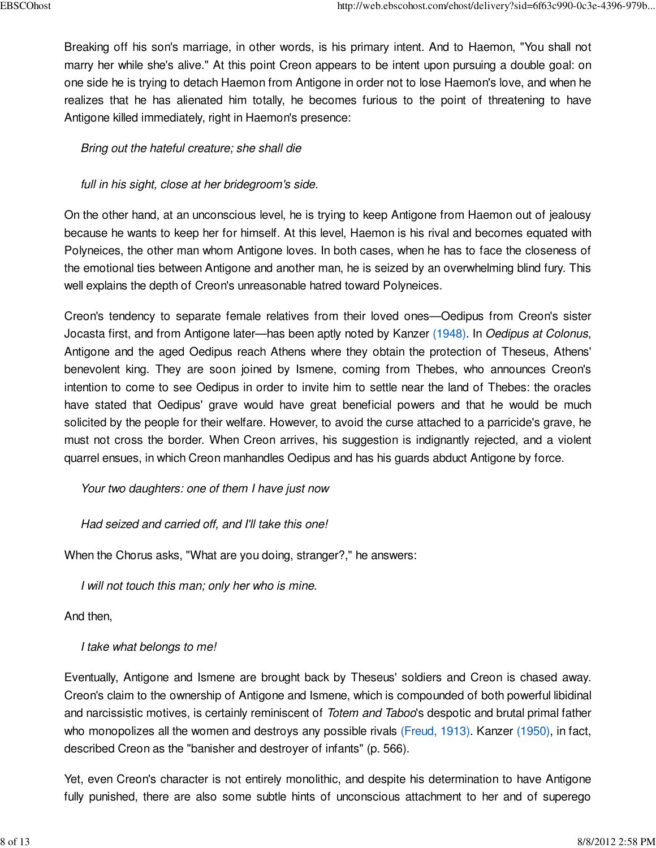Breaking off his son's marriage, in other words, is his primary intent. And to Haemon, "You shall not marry her while she's alive." At this point Creon appears to be intent upon pursuing a double goal: on one side he is trying to detach Haemon from Antigone in order not to lose Haemon's love, and when he realizes that he has alienated him totally, he becomes furious to the point of threatening to have Antigone killed immediately, right in Haemon's presence:

# Bring out the hateful creature; she shall die

# full in his sight, close at her bridegroom's side.

On the other hand, at an unconscious level, he is trying to keep Antigone from Haemon out of jealousy because he wants to keep her for himself. At this level, Haemon is his rival and becomes equated with Polyneices, the other man whom Antigone loves. In both cases, when he has to face the closeness of the emotional ties between Antigone and another man, he is seized by an overwhelming blind fury. This well explains the depth of Creon's unreasonable hatred toward Polyneices.

Creon's tendency to separate female relatives from their loved ones—Oedipus from Creon's sister Jocasta first, and from Antigone later—has been aptly noted by Kanzer (1948). In Oedipus at Colonus, Antigone and the aged Oedipus reach Athens where they obtain the protection of Theseus, Athens' benevolent king. They are soon joined by Ismene, coming from Thebes, who announces Creon's intention to come to see Oedipus in order to invite him to settle near the land of Thebes: the oracles have stated that Oedipus' grave would have great beneficial powers and that he would be much solicited by the people for their welfare. However, to avoid the curse attached to a parricide's grave, he must not cross the border. When Creon arrives, his suggestion is indignantly rejected, and a violent quarrel ensues, in which Creon manhandles Oedipus and has his guards abduct Antigone by force.

Your two daughters: one of them I have just now

Had seized and carried off, and I'll take this one!

When the Chorus asks, "What are you doing, stranger?," he answers:

I will not touch this man; only her who is mine.

And then,

I take what belongs to me!

Eventually, Antigone and Ismene are brought back by Theseus' soldiers and Creon is chased away. Creon's claim to the ownership of Antigone and Ismene, which is compounded of both powerful libidinal and narcissistic motives, is certainly reminiscent of Totem and Taboo's despotic and brutal primal father who monopolizes all the women and destroys any possible rivals (Freud, 1913). Kanzer (1950), in fact, described Creon as the "banisher and destroyer of infants" (p. 566).

Yet, even Creon's character is not entirely monolithic, and despite his determination to have Antigone fully punished, there are also some subtle hints of unconscious attachment to her and of superego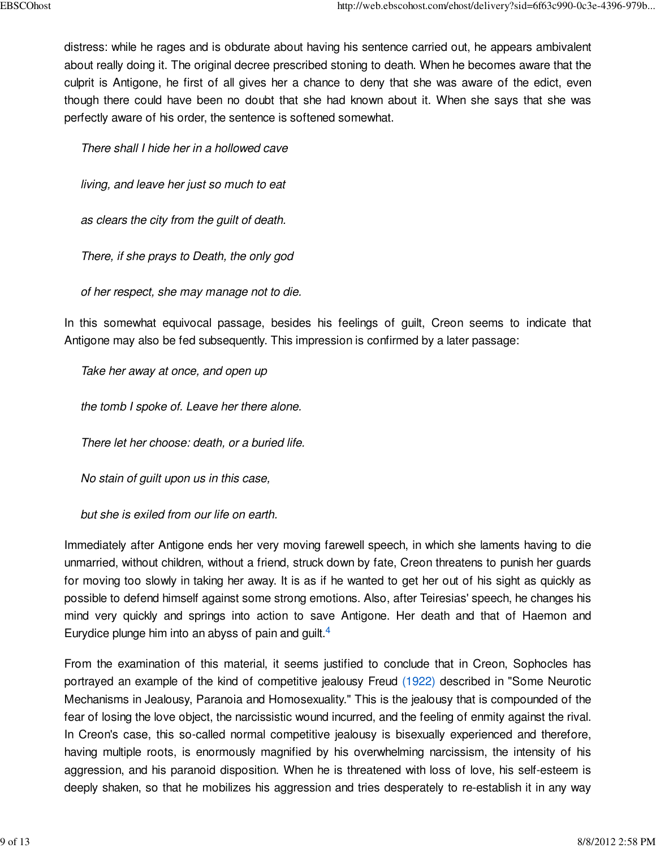distress: while he rages and is obdurate about having his sentence carried out, he appears ambivalent about really doing it. The original decree prescribed stoning to death. When he becomes aware that the culprit is Antigone, he first of all gives her a chance to deny that she was aware of the edict, even though there could have been no doubt that she had known about it. When she says that she was perfectly aware of his order, the sentence is softened somewhat.

There shall I hide her in a hollowed cave

living, and leave her just so much to eat

as clears the city from the guilt of death.

There, if she prays to Death, the only god

of her respect, she may manage not to die.

In this somewhat equivocal passage, besides his feelings of guilt, Creon seems to indicate that Antigone may also be fed subsequently. This impression is confirmed by a later passage:

Take her away at once, and open up

the tomb I spoke of. Leave her there alone.

There let her choose: death, or a buried life.

No stain of guilt upon us in this case,

but she is exiled from our life on earth.

Immediately after Antigone ends her very moving farewell speech, in which she laments having to die unmarried, without children, without a friend, struck down by fate, Creon threatens to punish her guards for moving too slowly in taking her away. It is as if he wanted to get her out of his sight as quickly as possible to defend himself against some strong emotions. Also, after Teiresias' speech, he changes his mind very quickly and springs into action to save Antigone. Her death and that of Haemon and Eurydice plunge him into an abyss of pain and guilt.<sup>4</sup>

From the examination of this material, it seems justified to conclude that in Creon, Sophocles has portrayed an example of the kind of competitive jealousy Freud (1922) described in "Some Neurotic Mechanisms in Jealousy, Paranoia and Homosexuality." This is the jealousy that is compounded of the fear of losing the love object, the narcissistic wound incurred, and the feeling of enmity against the rival. In Creon's case, this so-called normal competitive jealousy is bisexually experienced and therefore, having multiple roots, is enormously magnified by his overwhelming narcissism, the intensity of his aggression, and his paranoid disposition. When he is threatened with loss of love, his self-esteem is deeply shaken, so that he mobilizes his aggression and tries desperately to re-establish it in any way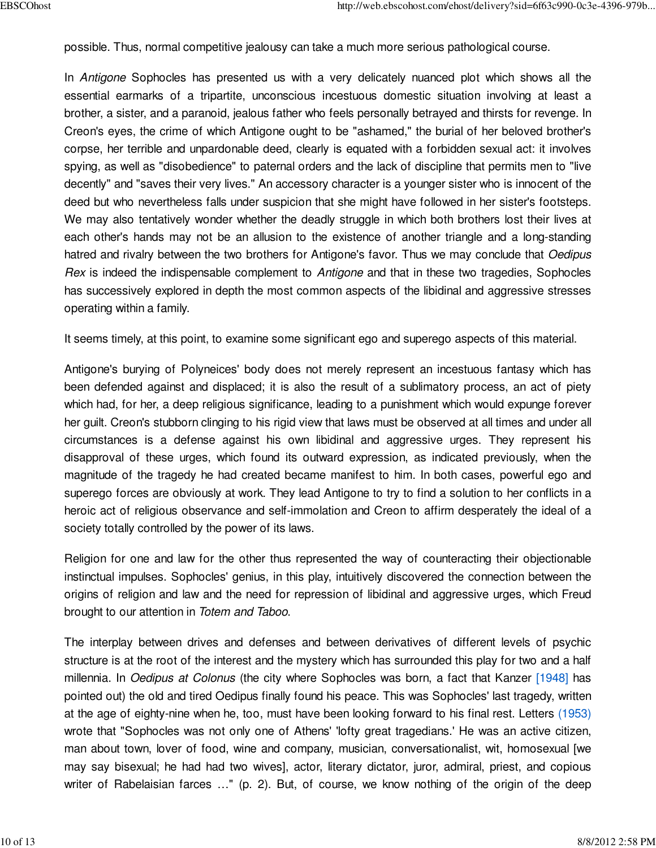possible. Thus, normal competitive jealousy can take a much more serious pathological course.

In Antigone Sophocles has presented us with a very delicately nuanced plot which shows all the essential earmarks of a tripartite, unconscious incestuous domestic situation involving at least a brother, a sister, and a paranoid, jealous father who feels personally betrayed and thirsts for revenge. In Creon's eyes, the crime of which Antigone ought to be "ashamed," the burial of her beloved brother's corpse, her terrible and unpardonable deed, clearly is equated with a forbidden sexual act: it involves spying, as well as "disobedience" to paternal orders and the lack of discipline that permits men to "live decently" and "saves their very lives." An accessory character is a younger sister who is innocent of the deed but who nevertheless falls under suspicion that she might have followed in her sister's footsteps. We may also tentatively wonder whether the deadly struggle in which both brothers lost their lives at each other's hands may not be an allusion to the existence of another triangle and a long-standing hatred and rivalry between the two brothers for Antigone's favor. Thus we may conclude that Oedipus Rex is indeed the indispensable complement to Antigone and that in these two tragedies, Sophocles has successively explored in depth the most common aspects of the libidinal and aggressive stresses operating within a family.

It seems timely, at this point, to examine some significant ego and superego aspects of this material.

Antigone's burying of Polyneices' body does not merely represent an incestuous fantasy which has been defended against and displaced; it is also the result of a sublimatory process, an act of piety which had, for her, a deep religious significance, leading to a punishment which would expunge forever her guilt. Creon's stubborn clinging to his rigid view that laws must be observed at all times and under all circumstances is a defense against his own libidinal and aggressive urges. They represent his disapproval of these urges, which found its outward expression, as indicated previously, when the magnitude of the tragedy he had created became manifest to him. In both cases, powerful ego and superego forces are obviously at work. They lead Antigone to try to find a solution to her conflicts in a heroic act of religious observance and self-immolation and Creon to affirm desperately the ideal of a society totally controlled by the power of its laws.

Religion for one and law for the other thus represented the way of counteracting their objectionable instinctual impulses. Sophocles' genius, in this play, intuitively discovered the connection between the origins of religion and law and the need for repression of libidinal and aggressive urges, which Freud brought to our attention in Totem and Taboo.

The interplay between drives and defenses and between derivatives of different levels of psychic structure is at the root of the interest and the mystery which has surrounded this play for two and a half millennia. In Oedipus at Colonus (the city where Sophocles was born, a fact that Kanzer [1948] has pointed out) the old and tired Oedipus finally found his peace. This was Sophocles' last tragedy, written at the age of eighty-nine when he, too, must have been looking forward to his final rest. Letters (1953) wrote that "Sophocles was not only one of Athens' 'lofty great tragedians.' He was an active citizen, man about town, lover of food, wine and company, musician, conversationalist, wit, homosexual [we may say bisexual; he had had two wives], actor, literary dictator, juror, admiral, priest, and copious writer of Rabelaisian farces ..." (p. 2). But, of course, we know nothing of the origin of the deep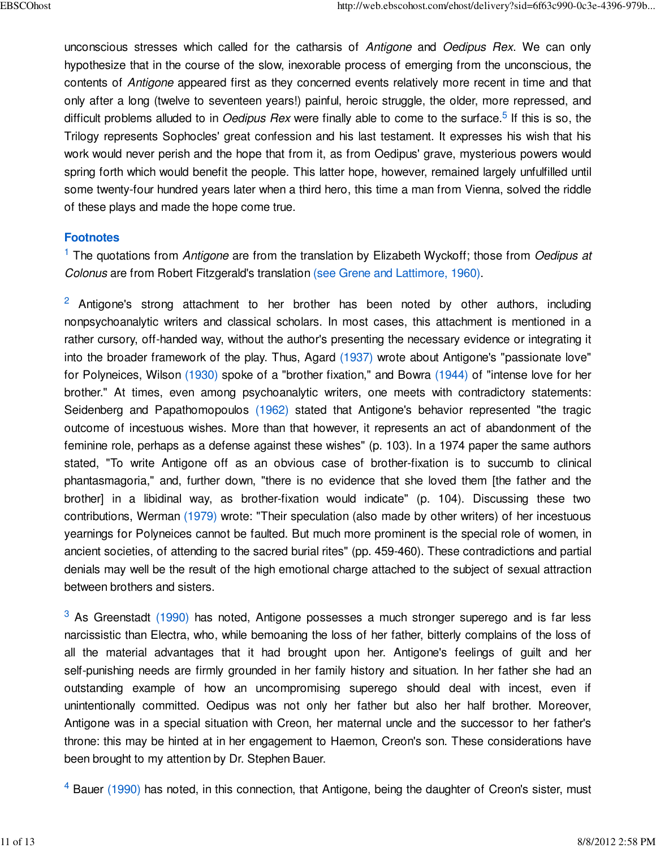unconscious stresses which called for the catharsis of Antigone and Oedipus Rex. We can only hypothesize that in the course of the slow, inexorable process of emerging from the unconscious, the contents of Antigone appeared first as they concerned events relatively more recent in time and that only after a long (twelve to seventeen years!) painful, heroic struggle, the older, more repressed, and difficult problems alluded to in *Oedipus Rex* were finally able to come to the surface.<sup>5</sup> If this is so, the Trilogy represents Sophocles' great confession and his last testament. It expresses his wish that his work would never perish and the hope that from it, as from Oedipus' grave, mysterious powers would spring forth which would benefit the people. This latter hope, however, remained largely unfulfilled until some twenty-four hundred years later when a third hero, this time a man from Vienna, solved the riddle of these plays and made the hope come true.

### **Footnotes**

 $1$  The quotations from Antigone are from the translation by Elizabeth Wyckoff; those from Oedipus at Colonus are from Robert Fitzgerald's translation (see Grene and Lattimore, 1960).

 $2$  Antigone's strong attachment to her brother has been noted by other authors, including nonpsychoanalytic writers and classical scholars. In most cases, this attachment is mentioned in a rather cursory, off-handed way, without the author's presenting the necessary evidence or integrating it into the broader framework of the play. Thus, Agard (1937) wrote about Antigone's "passionate love" for Polyneices, Wilson (1930) spoke of a "brother fixation," and Bowra (1944) of "intense love for her brother." At times, even among psychoanalytic writers, one meets with contradictory statements: Seidenberg and Papathomopoulos (1962) stated that Antigone's behavior represented "the tragic outcome of incestuous wishes. More than that however, it represents an act of abandonment of the feminine role, perhaps as a defense against these wishes" (p. 103). In a 1974 paper the same authors stated, "To write Antigone off as an obvious case of brother-fixation is to succumb to clinical phantasmagoria," and, further down, "there is no evidence that she loved them [the father and the brother] in a libidinal way, as brother-fixation would indicate" (p. 104). Discussing these two contributions, Werman (1979) wrote: "Their speculation (also made by other writers) of her incestuous yearnings for Polyneices cannot be faulted. But much more prominent is the special role of women, in ancient societies, of attending to the sacred burial rites" (pp. 459-460). These contradictions and partial denials may well be the result of the high emotional charge attached to the subject of sexual attraction between brothers and sisters.

 $3$  As Greenstadt (1990) has noted, Antigone possesses a much stronger superego and is far less narcissistic than Electra, who, while bemoaning the loss of her father, bitterly complains of the loss of all the material advantages that it had brought upon her. Antigone's feelings of guilt and her self-punishing needs are firmly grounded in her family history and situation. In her father she had an outstanding example of how an uncompromising superego should deal with incest, even if unintentionally committed. Oedipus was not only her father but also her half brother. Moreover, Antigone was in a special situation with Creon, her maternal uncle and the successor to her father's throne: this may be hinted at in her engagement to Haemon, Creon's son. These considerations have been brought to my attention by Dr. Stephen Bauer.

 $4$  Bauer (1990) has noted, in this connection, that Antigone, being the daughter of Creon's sister, must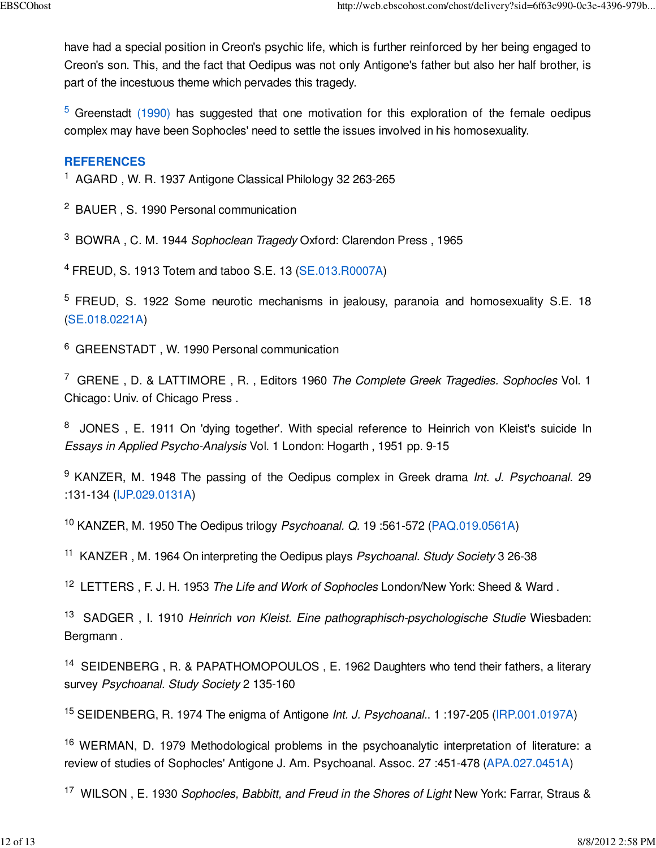have had a special position in Creon's psychic life, which is further reinforced by her being engaged to Creon's son. This, and the fact that Oedipus was not only Antigone's father but also her half brother, is part of the incestuous theme which pervades this tragedy.

 $5$  Greenstadt (1990) has suggested that one motivation for this exploration of the female oedipus complex may have been Sophocles' need to settle the issues involved in his homosexuality.

## **REFERENCES**

- <sup>1</sup> AGARD, W. R. 1937 Antigone Classical Philology 32 263-265
- <sup>2</sup> BAUER, S. 1990 Personal communication

<sup>3</sup> BOWRA, C. M. 1944 Sophoclean Tragedy Oxford: Clarendon Press, 1965

<sup>4</sup> FREUD, S. 1913 Totem and taboo S.E. 13 (SE.013.R0007A)

<sup>5</sup> FREUD, S. 1922 Some neurotic mechanisms in jealousy, paranoia and homosexuality S.E. 18 (SE.018.0221A)

<sup>6</sup> GREENSTADT, W. 1990 Personal communication

<sup>7</sup> GRENE, D. & LATTIMORE, R., Editors 1960 The Complete Greek Tragedies. Sophocles Vol. 1 Chicago: Univ. of Chicago Press .

<sup>8</sup> JONES, E. 1911 On 'dying together'. With special reference to Heinrich von Kleist's suicide In Essays in Applied Psycho-Analysis Vol. 1 London: Hogarth , 1951 pp. 9-15

<sup>9</sup> KANZER, M. 1948 The passing of the Oedipus complex in Greek drama Int. J. Psychoanal. 29 :131-134 (IJP.029.0131A)

<sup>10</sup> KANZER, M. 1950 The Oedipus trilogy Psychoanal. Q. 19:561-572 (PAQ.019.0561A)

<sup>11</sup> KANZER, M. 1964 On interpreting the Oedipus plays Psychoanal. Study Society 3 26-38

<sup>12</sup> LETTERS, F. J. H. 1953 The Life and Work of Sophocles London/New York: Sheed & Ward.

<sup>13</sup> SADGER, I. 1910 Heinrich von Kleist. Eine pathographisch-psychologische Studie Wiesbaden: Bergmann .

<sup>14</sup> SEIDENBERG, R. & PAPATHOMOPOULOS, E. 1962 Daughters who tend their fathers, a literary survey Psychoanal. Study Society 2 135-160

<sup>15</sup> SEIDENBERG, R. 1974 The enigma of Antigone Int. J. Psychoanal.. 1:197-205 (IRP.001.0197A)

<sup>16</sup> WERMAN, D. 1979 Methodological problems in the psychoanalytic interpretation of literature: a review of studies of Sophocles' Antigone J. Am. Psychoanal. Assoc. 27 :451-478 (APA.027.0451A)

<sup>17</sup> WILSON, E. 1930 Sophocles, Babbitt, and Freud in the Shores of Light New York: Farrar, Straus &